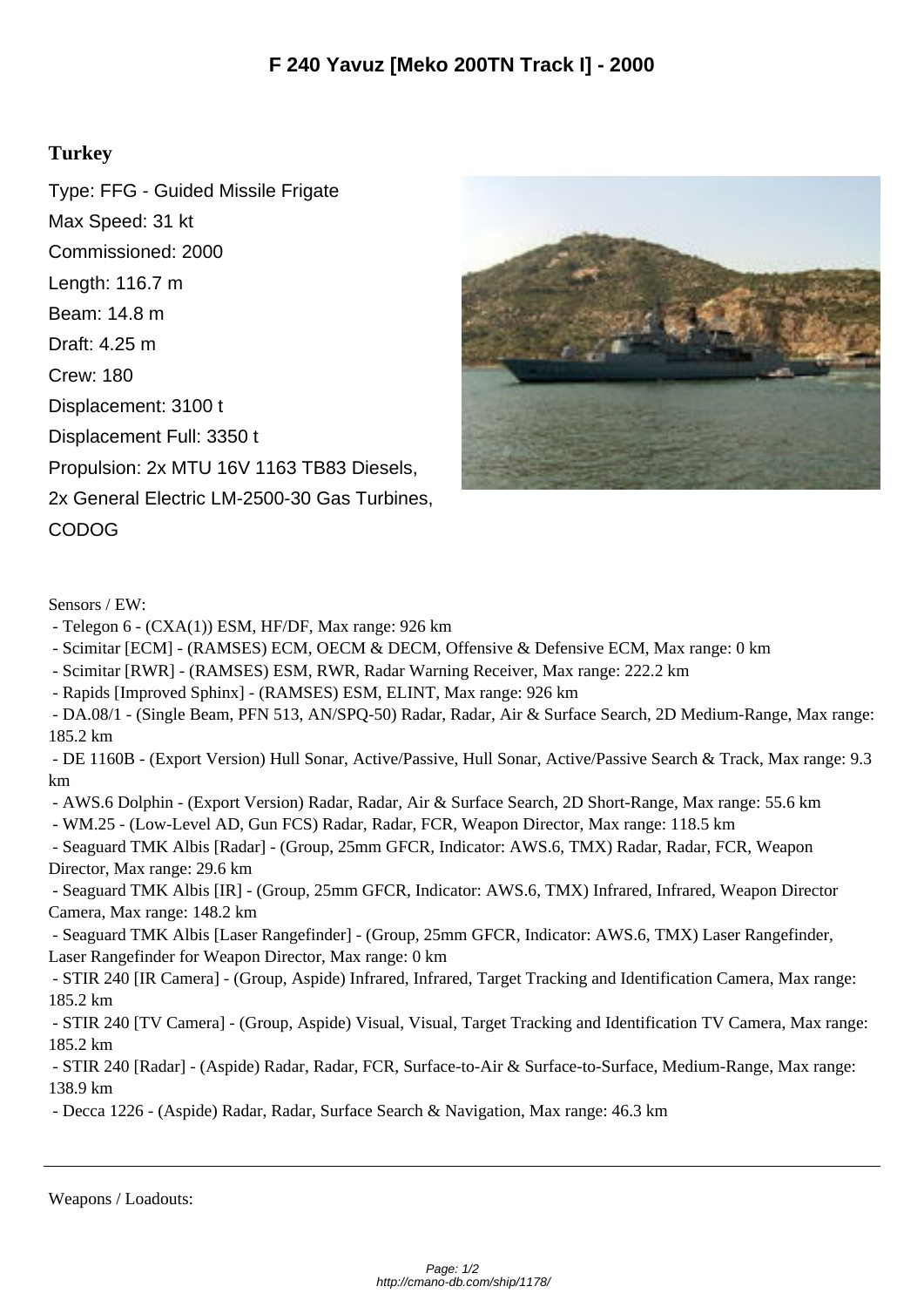## **Turkey**

Type: FFG - Guided Missile Frigate Max Speed: 31 kt Commissioned: 2000 Length: 116.7 m Beam: 14.8 m Draft: 4.25 m Crew: 180 Displacement: 3100 t Displacement Full: 3350 t Propulsion: 2x MTU 16V 1163 TB83 Diesels, 2x General Electric LM-2500-30 Gas Turbines, CODOG



Sensors / EW:

- Telegon 6 (CXA(1)) ESM, HF/DF, Max range: 926 km
- Scimitar [ECM] (RAMSES) ECM, OECM & DECM, Offensive & Defensive ECM, Max range: 0 km
- Scimitar [RWR] (RAMSES) ESM, RWR, Radar Warning Receiver, Max range: 222.2 km

- Rapids [Improved Sphinx] - (RAMSES) ESM, ELINT, Max range: 926 km

 - DA.08/1 - (Single Beam, PFN 513, AN/SPQ-50) Radar, Radar, Air & Surface Search, 2D Medium-Range, Max range: 185.2 km

 - DE 1160B - (Export Version) Hull Sonar, Active/Passive, Hull Sonar, Active/Passive Search & Track, Max range: 9.3 km

- AWS.6 Dolphin - (Export Version) Radar, Radar, Air & Surface Search, 2D Short-Range, Max range: 55.6 km

- WM.25 - (Low-Level AD, Gun FCS) Radar, Radar, FCR, Weapon Director, Max range: 118.5 km

 - Seaguard TMK Albis [Radar] - (Group, 25mm GFCR, Indicator: AWS.6, TMX) Radar, Radar, FCR, Weapon Director, Max range: 29.6 km

 - Seaguard TMK Albis [IR] - (Group, 25mm GFCR, Indicator: AWS.6, TMX) Infrared, Infrared, Weapon Director Camera, Max range: 148.2 km

 - Seaguard TMK Albis [Laser Rangefinder] - (Group, 25mm GFCR, Indicator: AWS.6, TMX) Laser Rangefinder, Laser Rangefinder for Weapon Director, Max range: 0 km

 - STIR 240 [IR Camera] - (Group, Aspide) Infrared, Infrared, Target Tracking and Identification Camera, Max range: 185.2 km

 - STIR 240 [TV Camera] - (Group, Aspide) Visual, Visual, Target Tracking and Identification TV Camera, Max range: 185.2 km

 - STIR 240 [Radar] - (Aspide) Radar, Radar, FCR, Surface-to-Air & Surface-to-Surface, Medium-Range, Max range: 138.9 km

- Decca 1226 - (Aspide) Radar, Radar, Surface Search & Navigation, Max range: 46.3 km

Weapons / Loadouts: